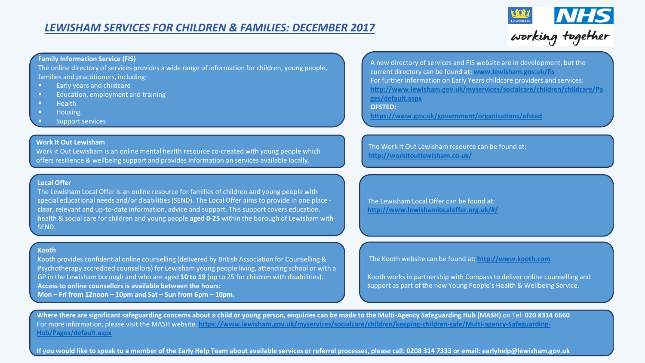

#### **Family Information Service (FIS)**

The online directory of services provides a wide range of information for children, young people, families and practitioners, including:

- Early years and childcare
- **Education, employment and training**
- $H$  Health
- **Housing**
- Support services

#### **Work It Out Lewisham**

Work it Out Lewisham is an online mental health resource co-created with young people which offers resilience & wellbeing support and provides information on services available locally.

#### **Local Offer**

The Lewisham Local Offer is an online resource for families of children and young people with special educational needs and/or disabilities (SEND). The Local Offer aims to provide in one place clear, relevant and up-to-date information, advice and support. This support covers education, health & social care for children and young people **aged 0-25** within the borough of Lewisham with SEND.

#### **Kooth**

Kooth provides confidential online counselling (delivered by British Association for Counselling & Psychotherapy accredited counsellors) for Lewisham young people living, attending school or with a GP in the Lewisham borough and who are aged **10 to 19** (up to 25 for children with disabilities). **Access to online counsellors is available between the hours: Mon – Fri from 12noon – 10pm and Sat – Sun from 6pm – 10pm.**

A new directory of services and FIS website are in development, but the current directory can be found at**: [www.lewisham.gov.uk/fis](http://www.lewisham.gov.uk/fis)** For further information on Early Years childcare providers and services: **[http://www.lewisham.gov.uk/myservices/socialcare/children/childcare/Pa](http://www.lewisham.gov.uk/myservices/socialcare/children/childcare/Pages/default.aspx) ges/default.aspx**

**OFSTED:**

**<https://www.gov.uk/government/organisations/ofsted>**

The Work It Out Lewisham resource can be found at: **<http://workitoutlewisham.co.uk/>**

The Lewisham Local Offer can be found at: **<http://www.lewishamlocaloffer.org.uk/#/>**

The Kooth website can be found at: **[http://www.kooth.com](http://www.kooth.com/)**

Kooth works in partnership with Compass to deliver online counselling and support as part of the new Young People's Health & Wellbeing Service.

**Where there are significant safeguarding concerns about a child or young person, enquiries can be made to the Multi-Agency Safeguarding Hub (MASH)** on Tel: **020 8314 6660** For more information, please visit the MASH website. **[https://www.lewisham.gov.uk/myservices/socialcare/children/keeping-children-safe/Multi-agency-Safeguarding-](https://www.lewisham.gov.uk/myservices/socialcare/children/keeping-children-safe/Multi-agency-Safeguarding-Hub/Pages/default.aspx)Hub/Pages/default.aspx**

If you would like to speak to a member of the Early Help Team about available services or referral processes, please call: 0208 314 7333 or email: earlyhelp@lewisham.gov.uk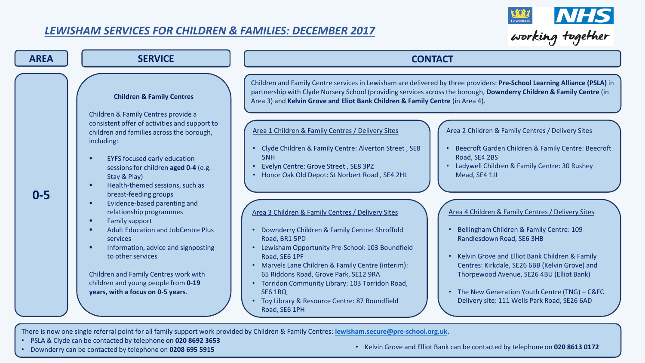

| <b>AREA</b> | <b>SERVICE</b>                                                                                                                                                                                                                                                                                                                                                                                                                                                                                                                                                                                                                                                                                                        | <b>CONTACT</b>                                                                                                                                                                                                                                                                                                                                                                                                                                                                                                                                                                                                                                                                                                                                                                                                                                                                                                                                                                                                                                                                                                                                                                                                                                                                                                                                                                                                                                                                                                                                                  |
|-------------|-----------------------------------------------------------------------------------------------------------------------------------------------------------------------------------------------------------------------------------------------------------------------------------------------------------------------------------------------------------------------------------------------------------------------------------------------------------------------------------------------------------------------------------------------------------------------------------------------------------------------------------------------------------------------------------------------------------------------|-----------------------------------------------------------------------------------------------------------------------------------------------------------------------------------------------------------------------------------------------------------------------------------------------------------------------------------------------------------------------------------------------------------------------------------------------------------------------------------------------------------------------------------------------------------------------------------------------------------------------------------------------------------------------------------------------------------------------------------------------------------------------------------------------------------------------------------------------------------------------------------------------------------------------------------------------------------------------------------------------------------------------------------------------------------------------------------------------------------------------------------------------------------------------------------------------------------------------------------------------------------------------------------------------------------------------------------------------------------------------------------------------------------------------------------------------------------------------------------------------------------------------------------------------------------------|
| $0 - 5$     | <b>Children &amp; Family Centres</b><br>Children & Family Centres provide a<br>consistent offer of activities and support to<br>children and families across the borough,<br>including:<br><b>EYFS focused early education</b><br>п<br>sessions for children aged 0-4 (e.g.<br>Stay & Play)<br>Health-themed sessions, such as<br>п<br>breast-feeding groups<br>Evidence-based parenting and<br>п<br>relationship programmes<br><b>Family support</b><br>٠<br><b>Adult Education and JobCentre Plus</b><br>п<br><b>services</b><br>Information, advice and signposting<br>п<br>to other services<br>Children and Family Centres work with<br>children and young people from 0-19<br>years, with a focus on 0-5 years. | Children and Family Centre services in Lewisham are delivered by three providers: Pre-School Learning Alliance (PSLA) in<br>partnership with Clyde Nursery School (providing services across the borough, Downderry Children & Family Centre (in<br>Area 3) and Kelvin Grove and Eliot Bank Children & Family Centre (in Area 4).<br>Area 1 Children & Family Centres / Delivery Sites<br>Area 2 Children & Family Centres / Delivery Sites<br>Beecroft Garden Children & Family Centre: Beecroft<br>• Clyde Children & Family Centre: Alverton Street, SE8<br>Road, SE4 2BS<br>5NH<br>Evelyn Centre: Grove Street, SE8 3PZ<br>Ladywell Children & Family Centre: 30 Rushey<br>• Honor Oak Old Depot: St Norbert Road, SE4 2HL<br>Mead, SE4 1JJ<br>Area 4 Children & Family Centres / Delivery Sites<br>Area 3 Children & Family Centres / Delivery Sites<br>Bellingham Children & Family Centre: 109<br>Downderry Children & Family Centre: Shroffold<br>Road, BR1 5PD<br>Randlesdown Road, SE6 3HB<br>Lewisham Opportunity Pre-School: 103 Boundfield<br>• Kelvin Grove and Elliot Bank Children & Family<br>Road, SE6 1PF<br>Centres: Kirkdale, SE26 6BB (Kelvin Grove) and<br>Marvels Lane Children & Family Centre (interim):<br>65 Riddons Road, Grove Park, SE12 9RA<br>Thorpewood Avenue, SE26 4BU (Elliot Bank)<br>Torridon Community Library: 103 Torridon Road,<br>• The New Generation Youth Centre (TNG) - C&FC<br><b>SE6 1RQ</b><br>Toy Library & Resource Centre: 87 Boundfield<br>Delivery site: 111 Wells Park Road, SE26 6AD<br>Road, SE6 1PH |

There is now one single referral point for all family support work provided by Children & Family Centres: **[lewisham.secure@pre-school.org.uk.](mailto:lewisham.secure@pre-school.org.uk)**

- PSLA & Clyde can be contacted by telephone on **020 8692 3653**
- 

• Kelvin Grove and Elliot Bank can be contacted by telephone on 020 8613 0172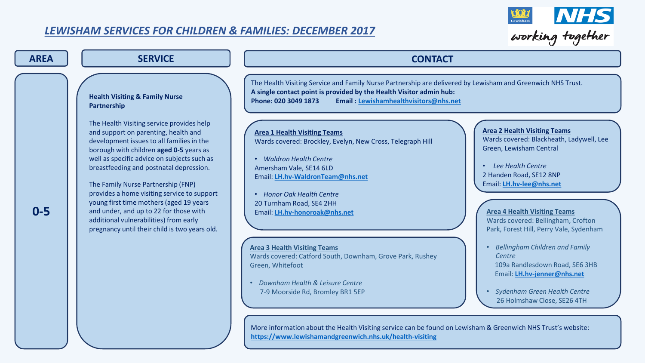

| <b>AREA</b> | <b>SERVICE</b>                                                                                                                                                                                                                                                                                                                                                                                                                                                                                                                                                                                       | <b>CONTACT</b>                                                                                                                                                                                                                                                                                                                                                                                                                                                                                                                                                                                                                                                                                                                                                                                                                                                                                                                                                                                                                                                                                                                                                                                                                                                                                                                                                                                                                                          |
|-------------|------------------------------------------------------------------------------------------------------------------------------------------------------------------------------------------------------------------------------------------------------------------------------------------------------------------------------------------------------------------------------------------------------------------------------------------------------------------------------------------------------------------------------------------------------------------------------------------------------|---------------------------------------------------------------------------------------------------------------------------------------------------------------------------------------------------------------------------------------------------------------------------------------------------------------------------------------------------------------------------------------------------------------------------------------------------------------------------------------------------------------------------------------------------------------------------------------------------------------------------------------------------------------------------------------------------------------------------------------------------------------------------------------------------------------------------------------------------------------------------------------------------------------------------------------------------------------------------------------------------------------------------------------------------------------------------------------------------------------------------------------------------------------------------------------------------------------------------------------------------------------------------------------------------------------------------------------------------------------------------------------------------------------------------------------------------------|
| $0-5$       | <b>Health Visiting &amp; Family Nurse</b><br>Partnership<br>The Health Visiting service provides help<br>and support on parenting, health and<br>development issues to all families in the<br>borough with children aged 0-5 years as<br>well as specific advice on subjects such as<br>breastfeeding and postnatal depression.<br>The Family Nurse Partnership (FNP)<br>provides a home visiting service to support<br>young first time mothers (aged 19 years<br>and under, and up to 22 for those with<br>additional vulnerabilities) from early<br>pregnancy until their child is two years old. | The Health Visiting Service and Family Nurse Partnership are delivered by Lewisham and Greenwich NHS Trust.<br>A single contact point is provided by the Health Visitor admin hub:<br>Phone: 020 3049 1873<br>Email: Lewishamhealthvisitors@nhs.net<br><b>Area 2 Health Visiting Teams</b><br><b>Area 1 Health Visiting Teams</b><br>Wards covered: Blackheath, Ladywell, Lee<br>Wards covered: Brockley, Evelyn, New Cross, Telegraph Hill<br>Green, Lewisham Central<br>• Waldron Health Centre<br>Lee Health Centre<br>$\bullet$<br>Amersham Vale, SE14 6LD<br>2 Handen Road, SE12 8NP<br>Email: LH.hv-WaldronTeam@nhs.net<br>Email: LH.hv-lee@nhs.net<br>• Honor Oak Health Centre<br>20 Turnham Road, SE4 2HH<br><b>Area 4 Health Visiting Teams</b><br>Email: LH.hv-honoroak@nhs.net<br>Wards covered: Bellingham, Crofton<br>Park, Forest Hill, Perry Vale, Sydenham<br><b>Bellingham Children and Family</b><br><b>Area 3 Health Visiting Teams</b><br>Wards covered: Catford South, Downham, Grove Park, Rushey<br>Centre<br>109a Randlesdown Road, SE6 3HB<br>Green, Whitefoot<br>Email: LH.hv-jenner@nhs.net<br>Downham Health & Leisure Centre<br>$\bullet$<br>· Sydenham Green Health Centre<br>7-9 Moorside Rd, Bromley BR1 5EP<br>26 Holmshaw Close, SE26 4TH<br>More information about the Health Visiting service can be found on Lewisham & Greenwich NHS Trust's website:<br>https://www.lewishamandgreenwich.nhs.uk/health-visiting |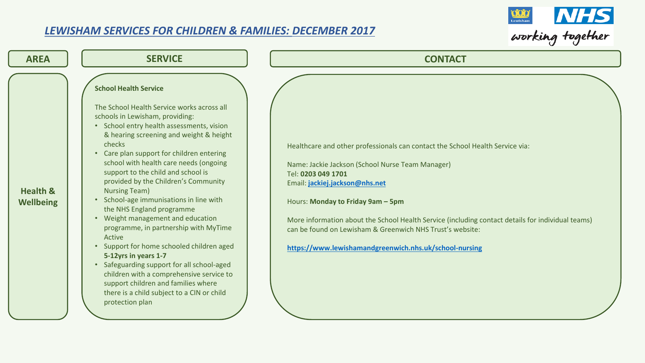

| <b>AREA</b>                             | <b>SERVICE</b>                                                                                                                                                                                                                                                                                                                                                                                                                                                                                                                                                                                                                                                                                                                                                                                                                                                 | <b>CONTACT</b>                                                                                                                                                                                                                                                                                                                                                                                                                                             |
|-----------------------------------------|----------------------------------------------------------------------------------------------------------------------------------------------------------------------------------------------------------------------------------------------------------------------------------------------------------------------------------------------------------------------------------------------------------------------------------------------------------------------------------------------------------------------------------------------------------------------------------------------------------------------------------------------------------------------------------------------------------------------------------------------------------------------------------------------------------------------------------------------------------------|------------------------------------------------------------------------------------------------------------------------------------------------------------------------------------------------------------------------------------------------------------------------------------------------------------------------------------------------------------------------------------------------------------------------------------------------------------|
| <b>Health &amp;</b><br><b>Wellbeing</b> | <b>School Health Service</b><br>The School Health Service works across all<br>schools in Lewisham, providing:<br>• School entry health assessments, vision<br>& hearing screening and weight & height<br>checks<br>• Care plan support for children entering<br>school with health care needs (ongoing<br>support to the child and school is<br>provided by the Children's Community<br><b>Nursing Team)</b><br>• School-age immunisations in line with<br>the NHS England programme<br>Weight management and education<br>$\bullet$<br>programme, in partnership with MyTime<br>Active<br>• Support for home schooled children aged<br>5-12yrs in years 1-7<br>• Safeguarding support for all school-aged<br>children with a comprehensive service to<br>support children and families where<br>there is a child subject to a CIN or child<br>protection plan | Healthcare and other professionals can contact the School Health Service via:<br>Name: Jackie Jackson (School Nurse Team Manager)<br>Tel: 0203 049 1701<br>Email: jackiej.jackson@nhs.net<br>Hours: Monday to Friday 9am - 5pm<br>More information about the School Health Service (including contact details for individual teams)<br>can be found on Lewisham & Greenwich NHS Trust's website:<br>https://www.lewishamandgreenwich.nhs.uk/school-nursing |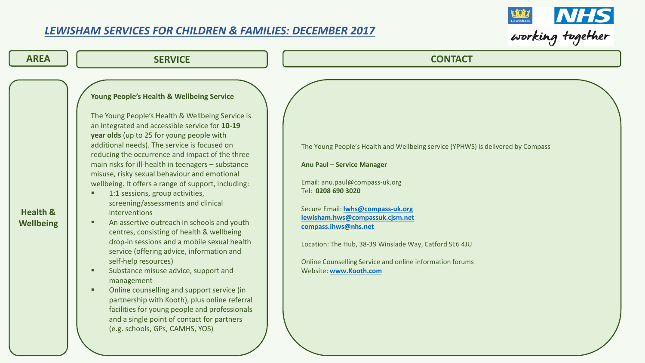

| <b>AREA</b>                             | <b>SERVICE</b>                                                                                                                                                                                                                                                                                                                                                                                                                                                                                                                                                                                                                                                                                                                                                                                                                                                                                                                                                                                                                                                                    | <b>CONTACT</b>                                                                                                                                                                                                                                                                                                                                                                                                               |
|-----------------------------------------|-----------------------------------------------------------------------------------------------------------------------------------------------------------------------------------------------------------------------------------------------------------------------------------------------------------------------------------------------------------------------------------------------------------------------------------------------------------------------------------------------------------------------------------------------------------------------------------------------------------------------------------------------------------------------------------------------------------------------------------------------------------------------------------------------------------------------------------------------------------------------------------------------------------------------------------------------------------------------------------------------------------------------------------------------------------------------------------|------------------------------------------------------------------------------------------------------------------------------------------------------------------------------------------------------------------------------------------------------------------------------------------------------------------------------------------------------------------------------------------------------------------------------|
| <b>Health &amp;</b><br><b>Wellbeing</b> | <b>Young People's Health &amp; Wellbeing Service</b><br>The Young People's Health & Wellbeing Service is<br>an integrated and accessible service for 10-19<br>year olds (up to 25 for young people with<br>additional needs). The service is focused on<br>reducing the occurrence and impact of the three<br>main risks for ill-health in teenagers - substance<br>misuse, risky sexual behaviour and emotional<br>wellbeing. It offers a range of support, including:<br>1:1 sessions, group activities,<br>screening/assessments and clinical<br>interventions<br>An assertive outreach in schools and youth<br>о<br>centres, consisting of health & wellbeing<br>drop-in sessions and a mobile sexual health<br>service (offering advice, information and<br>self-help resources)<br>Substance misuse advice, support and<br>management<br>Online counselling and support service (in<br>п<br>partnership with Kooth), plus online referral<br>facilities for young people and professionals<br>and a single point of contact for partners<br>(e.g. schools, GPs, CAMHS, YOS) | The Young People's Health and Wellbeing service (YPHWS) is delivered by Compass<br>Anu Paul - Service Manager<br>Email: anu.paul@compass-uk.org<br>Tel: 0208 690 3020<br>Secure Email: <b>Iwhs@compass-uk.org</b><br>lewisham.hws@compassuk.cjsm.net<br>compass.ihws@nhs.net<br>Location: The Hub, 38-39 Winslade Way, Catford SE6 4JU<br>Online Counselling Service and online information forums<br>Website: www.Kooth.com |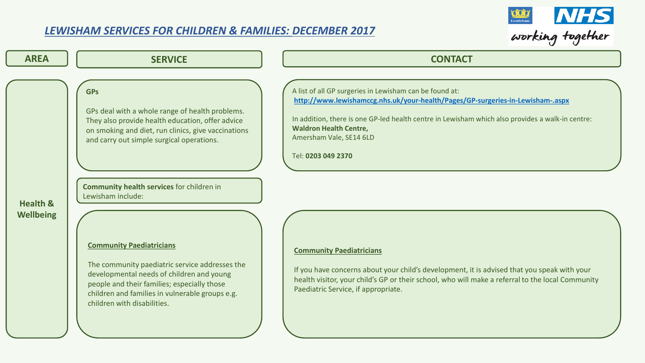$\bigcap$ 



| <b>AREA</b>         | <b>SERVICE</b>                                                                                                                                                                                                                                                                                 | <b>CONTACT</b>                                                                                                                                                                                                                                                                                                                  |
|---------------------|------------------------------------------------------------------------------------------------------------------------------------------------------------------------------------------------------------------------------------------------------------------------------------------------|---------------------------------------------------------------------------------------------------------------------------------------------------------------------------------------------------------------------------------------------------------------------------------------------------------------------------------|
| <b>Health &amp;</b> | <b>GPs</b><br>GPs deal with a whole range of health problems.<br>They also provide health education, offer advice<br>on smoking and diet, run clinics, give vaccinations<br>and carry out simple surgical operations.<br><b>Community health services for children in</b><br>Lewisham include: | A list of all GP surgeries in Lewisham can be found at:<br>http://www.lewishamccg.nhs.uk/your-health/Pages/GP-surgeries-in-Lewisham-.aspx<br>In addition, there is one GP-led health centre in Lewisham which also provides a walk-in centre:<br><b>Waldron Health Centre,</b><br>Amersham Vale, SE14 6LD<br>Tel: 0203 049 2370 |
| <b>Wellbeing</b>    | <b>Community Paediatricians</b><br>The community paediatric service addresses the<br>developmental needs of children and young<br>people and their families; especially those<br>children and families in vulnerable groups e.g.<br>children with disabilities.                                | <b>Community Paediatricians</b><br>If you have concerns about your child's development, it is advised that you speak with your<br>health visitor, your child's GP or their school, who will make a referral to the local Community<br>Paediatric Service, if appropriate.                                                       |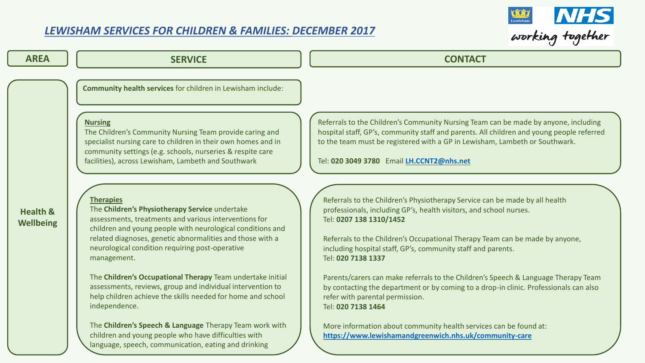

| <b>AREA</b>                             | <b>SERVICE</b>                                                                                                                                                                                                                                                                                                                                                                                                                                                                                                                                                                                                                                                                                                                                                                                                                                                                                                                                                                             | <b>CONTACT</b>                                                                                                                                                                                                                                                                                                                                                                                                                                                                                                                                                                                                                                                                                                                                                                                                                                                                                                                                                                                                                            |
|-----------------------------------------|--------------------------------------------------------------------------------------------------------------------------------------------------------------------------------------------------------------------------------------------------------------------------------------------------------------------------------------------------------------------------------------------------------------------------------------------------------------------------------------------------------------------------------------------------------------------------------------------------------------------------------------------------------------------------------------------------------------------------------------------------------------------------------------------------------------------------------------------------------------------------------------------------------------------------------------------------------------------------------------------|-------------------------------------------------------------------------------------------------------------------------------------------------------------------------------------------------------------------------------------------------------------------------------------------------------------------------------------------------------------------------------------------------------------------------------------------------------------------------------------------------------------------------------------------------------------------------------------------------------------------------------------------------------------------------------------------------------------------------------------------------------------------------------------------------------------------------------------------------------------------------------------------------------------------------------------------------------------------------------------------------------------------------------------------|
| <b>Health &amp;</b><br><b>Wellbeing</b> | Community health services for children in Lewisham include:<br><b>Nursing</b><br>The Children's Community Nursing Team provide caring and<br>specialist nursing care to children in their own homes and in<br>community settings (e.g. schools, nurseries & respite care<br>facilities), across Lewisham, Lambeth and Southwark<br><b>Therapies</b><br>The Children's Physiotherapy Service undertake<br>assessments, treatments and various interventions for<br>children and young people with neurological conditions and<br>related diagnoses, genetic abnormalities and those with a<br>neurological condition requiring post-operative<br>management.<br>The Children's Occupational Therapy Team undertake initial<br>assessments, reviews, group and individual intervention to<br>help children achieve the skills needed for home and school<br>independence.<br>The Children's Speech & Language Therapy Team work with<br>children and young people who have difficulties with | Referrals to the Children's Community Nursing Team can be made by anyone, including<br>hospital staff, GP's, community staff and parents. All children and young people referred<br>to the team must be registered with a GP in Lewisham, Lambeth or Southwark.<br>Tel: 020 3049 3780 Email LH.CCNT2@nhs.net<br>Referrals to the Children's Physiotherapy Service can be made by all health<br>professionals, including GP's, health visitors, and school nurses.<br>Tel: 0207 138 1310/1452<br>Referrals to the Children's Occupational Therapy Team can be made by anyone,<br>including hospital staff, GP's, community staff and parents.<br>Tel: 020 7138 1337<br>Parents/carers can make referrals to the Children's Speech & Language Therapy Team<br>by contacting the department or by coming to a drop-in clinic. Professionals can also<br>refer with parental permission.<br>Tel: 020 7138 1464<br>More information about community health services can be found at:<br>https://www.lewishamandgreenwich.nhs.uk/community-care |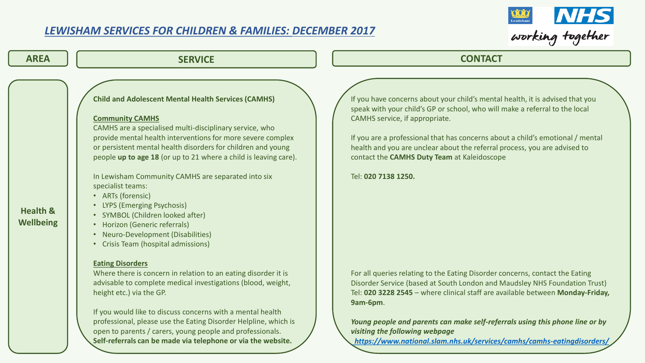

| <b>AREA</b>                             | <b>SERVICE</b>                                                                                                                                                                                                                                                                                                                                                                                                                                                                                                                                                                                                                                                                                                                                                                                                                                                                                                                                                                                                                  | <b>CONTACT</b>                                                                                                                                                                                                                                                                                                                                                                                                                                                                                                                                                                                                                                                                                                                                                                                                           |
|-----------------------------------------|---------------------------------------------------------------------------------------------------------------------------------------------------------------------------------------------------------------------------------------------------------------------------------------------------------------------------------------------------------------------------------------------------------------------------------------------------------------------------------------------------------------------------------------------------------------------------------------------------------------------------------------------------------------------------------------------------------------------------------------------------------------------------------------------------------------------------------------------------------------------------------------------------------------------------------------------------------------------------------------------------------------------------------|--------------------------------------------------------------------------------------------------------------------------------------------------------------------------------------------------------------------------------------------------------------------------------------------------------------------------------------------------------------------------------------------------------------------------------------------------------------------------------------------------------------------------------------------------------------------------------------------------------------------------------------------------------------------------------------------------------------------------------------------------------------------------------------------------------------------------|
| <b>Health &amp;</b><br><b>Wellbeing</b> | <b>Child and Adolescent Mental Health Services (CAMHS)</b><br><b>Community CAMHS</b><br>CAMHS are a specialised multi-disciplinary service, who<br>provide mental health interventions for more severe complex<br>or persistent mental health disorders for children and young<br>people up to age 18 (or up to 21 where a child is leaving care).<br>In Lewisham Community CAMHS are separated into six<br>specialist teams:<br>• ARTs (forensic)<br>LYPS (Emerging Psychosis)<br>SYMBOL (Children looked after)<br>Horizon (Generic referrals)<br>Neuro-Development (Disabilities)<br>$\bullet$<br>• Crisis Team (hospital admissions)<br><b>Eating Disorders</b><br>Where there is concern in relation to an eating disorder it is<br>advisable to complete medical investigations (blood, weight,<br>height etc.) via the GP.<br>If you would like to discuss concerns with a mental health<br>professional, please use the Eating Disorder Helpline, which is<br>open to parents / carers, young people and professionals. | If you have concerns about your child's mental health, it is advised that you<br>speak with your child's GP or school, who will make a referral to the local<br>CAMHS service, if appropriate.<br>If you are a professional that has concerns about a child's emotional / mental<br>health and you are unclear about the referral process, you are advised to<br>contact the CAMHS Duty Team at Kaleidoscope<br>Tel: 020 7138 1250.<br>For all queries relating to the Eating Disorder concerns, contact the Eating<br>Disorder Service (based at South London and Maudsley NHS Foundation Trust)<br>Tel: 020 3228 2545 - where clinical staff are available between Monday-Friday,<br><b>9am-6pm.</b><br>Young people and parents can make self-referrals using this phone line or by<br>visiting the following webpage |

open to parents / carers, young people and professionals. **Self-referrals can be made via telephone or via the website.**

*<https://www.national.slam.nhs.uk/services/camhs/camhs-eatingdisorders/>*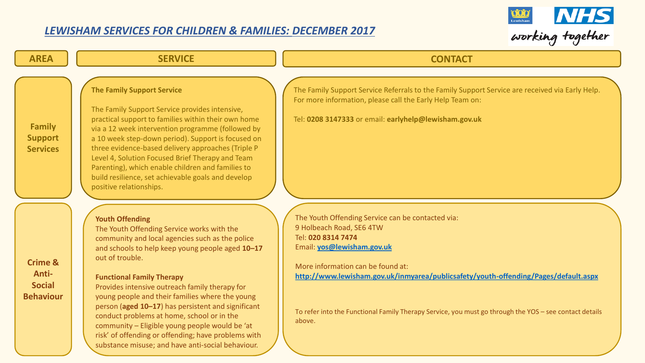

| <b>AREA</b>                                                      | <b>SERVICE</b>                                                                                                                                                                                                                                                                                                                                                                                                                                                                                                                                                                                            | <b>CONTACT</b>                                                                                                                                                                                                                                                                                                                                                                    |
|------------------------------------------------------------------|-----------------------------------------------------------------------------------------------------------------------------------------------------------------------------------------------------------------------------------------------------------------------------------------------------------------------------------------------------------------------------------------------------------------------------------------------------------------------------------------------------------------------------------------------------------------------------------------------------------|-----------------------------------------------------------------------------------------------------------------------------------------------------------------------------------------------------------------------------------------------------------------------------------------------------------------------------------------------------------------------------------|
| <b>Family</b><br><b>Support</b><br><b>Services</b>               | <b>The Family Support Service</b><br>The Family Support Service provides intensive,<br>practical support to families within their own home<br>via a 12 week intervention programme (followed by<br>a 10 week step-down period). Support is focused on<br>three evidence-based delivery approaches (Triple P<br>Level 4, Solution Focused Brief Therapy and Team<br>Parenting), which enable children and families to<br>build resilience, set achievable goals and develop<br>positive relationships.                                                                                                     | The Family Support Service Referrals to the Family Support Service are received via Early Help.<br>For more information, please call the Early Help Team on:<br>Tel: 0208 3147333 or email: earlyhelp@lewisham.gov.uk                                                                                                                                                             |
| <b>Crime &amp;</b><br>Anti-<br><b>Social</b><br><b>Behaviour</b> | <b>Youth Offending</b><br>The Youth Offending Service works with the<br>community and local agencies such as the police<br>and schools to help keep young people aged 10-17<br>out of trouble.<br><b>Functional Family Therapy</b><br>Provides intensive outreach family therapy for<br>young people and their families where the young<br>person (aged 10-17) has persistent and significant<br>conduct problems at home, school or in the<br>community - Eligible young people would be 'at<br>risk' of offending or offending; have problems with<br>substance misuse; and have anti-social behaviour. | The Youth Offending Service can be contacted via:<br>9 Holbeach Road, SE6 4TW<br>Tel: 020 8314 7474<br>Email: yos@lewisham.gov.uk<br>More information can be found at:<br>http://www.lewisham.gov.uk/inmyarea/publicsafety/youth-offending/Pages/default.aspx<br>To refer into the Functional Family Therapy Service, you must go through the YOS - see contact details<br>above. |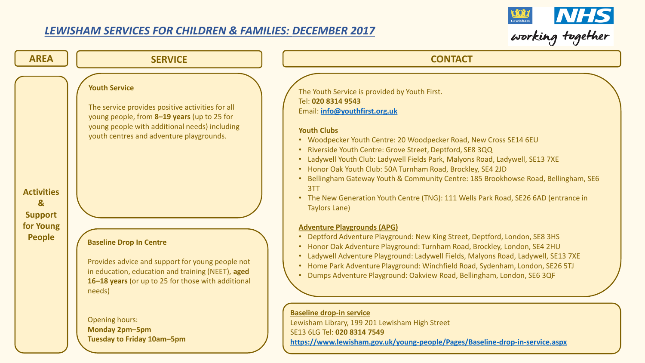

| <b>AREA</b>                                         | <b>SERVICE</b>                                                                                                                                                                                                       | <b>CONTACT</b>                                                                                                                                                                                                                                                                                                                                                                                                                                                                                                                                                                                                      |
|-----------------------------------------------------|----------------------------------------------------------------------------------------------------------------------------------------------------------------------------------------------------------------------|---------------------------------------------------------------------------------------------------------------------------------------------------------------------------------------------------------------------------------------------------------------------------------------------------------------------------------------------------------------------------------------------------------------------------------------------------------------------------------------------------------------------------------------------------------------------------------------------------------------------|
| <b>Activities</b><br>$\mathbf{g}$<br><b>Support</b> | <b>Youth Service</b><br>The service provides positive activities for all<br>young people, from 8-19 years (up to 25 for<br>young people with additional needs) including<br>youth centres and adventure playgrounds. | The Youth Service is provided by Youth First.<br>Tel: 020 8314 9543<br>Email: info@youthfirst.org.uk<br><b>Youth Clubs</b><br>• Woodpecker Youth Centre: 20 Woodpecker Road, New Cross SE14 6EU<br>Riverside Youth Centre: Grove Street, Deptford, SE8 3QQ<br>• Ladywell Youth Club: Ladywell Fields Park, Malyons Road, Ladywell, SE13 7XE<br>Honor Oak Youth Club: 50A Turnham Road, Brockley, SE4 2JD<br>Bellingham Gateway Youth & Community Centre: 185 Brookhowse Road, Bellingham, SE6<br>3TT<br>• The New Generation Youth Centre (TNG): 111 Wells Park Road, SE26 6AD (entrance in<br><b>Taylors Lane)</b> |
| for Young<br><b>People</b>                          | <b>Baseline Drop In Centre</b><br>Provides advice and support for young people not<br>in education, education and training (NEET), aged<br>16-18 years (or up to 25 for those with additional<br>needs)              | <b>Adventure Playgrounds (APG)</b><br>Deptford Adventure Playground: New King Street, Deptford, London, SE8 3HS<br>Honor Oak Adventure Playground: Turnham Road, Brockley, London, SE4 2HU<br>$\bullet$<br>Ladywell Adventure Playground: Ladywell Fields, Malyons Road, Ladywell, SE13 7XE<br>Home Park Adventure Playground: Winchfield Road, Sydenham, London, SE26 5TJ<br>Dumps Adventure Playground: Oakview Road, Bellingham, London, SE6 3QF<br><b>Baseline drop-in service</b>                                                                                                                              |

Opening hours: **Monday 2pm–5pm Tuesday to Friday 10am–5pm**

**<https://www.lewisham.gov.uk/young-people/Pages/Baseline-drop-in-service.aspx>**

Lewisham Library, 199 201 Lewisham High Street

SE13 6LG Tel: **020 8314 7549**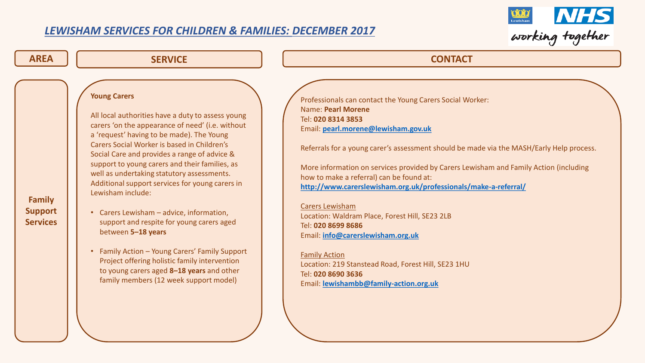

| <b>AREA</b>                                        | <b>SERVICE</b>                                                                                                                                                                                                                                                                                                                                                                                                                                                                                                                                                                                                                                                                                                                                            | <b>CONTACT</b>                                                                                                                                                                                                                                                                                                                                                                                                                                                                                                                                                                                                                                                                                                                                |
|----------------------------------------------------|-----------------------------------------------------------------------------------------------------------------------------------------------------------------------------------------------------------------------------------------------------------------------------------------------------------------------------------------------------------------------------------------------------------------------------------------------------------------------------------------------------------------------------------------------------------------------------------------------------------------------------------------------------------------------------------------------------------------------------------------------------------|-----------------------------------------------------------------------------------------------------------------------------------------------------------------------------------------------------------------------------------------------------------------------------------------------------------------------------------------------------------------------------------------------------------------------------------------------------------------------------------------------------------------------------------------------------------------------------------------------------------------------------------------------------------------------------------------------------------------------------------------------|
| <b>Family</b><br><b>Support</b><br><b>Services</b> | <b>Young Carers</b><br>All local authorities have a duty to assess young<br>carers 'on the appearance of need' (i.e. without<br>a 'request' having to be made). The Young<br>Carers Social Worker is based in Children's<br>Social Care and provides a range of advice &<br>support to young carers and their families, as<br>well as undertaking statutory assessments.<br>Additional support services for young carers in<br>Lewisham include:<br>• Carers Lewisham - advice, information,<br>support and respite for young carers aged<br>between 5-18 years<br>• Family Action - Young Carers' Family Support<br>Project offering holistic family intervention<br>to young carers aged 8-18 years and other<br>family members (12 week support model) | Professionals can contact the Young Carers Social Worker:<br><b>Name: Pearl Morene</b><br>Tel: 020 8314 3853<br>Email: pearl.morene@lewisham.gov.uk<br>Referrals for a young carer's assessment should be made via the MASH/Early Help process.<br>More information on services provided by Carers Lewisham and Family Action (including<br>how to make a referral) can be found at:<br>http://www.carerslewisham.org.uk/professionals/make-a-referral/<br><b>Carers Lewisham</b><br>Location: Waldram Place, Forest Hill, SE23 2LB<br>Tel: 020 8699 8686<br>Email: info@carerslewisham.org.uk<br><b>Family Action</b><br>Location: 219 Stanstead Road, Forest Hill, SE23 1HU<br>Tel: 020 8690 3636<br>Email: lewishambb@family-action.org.uk |